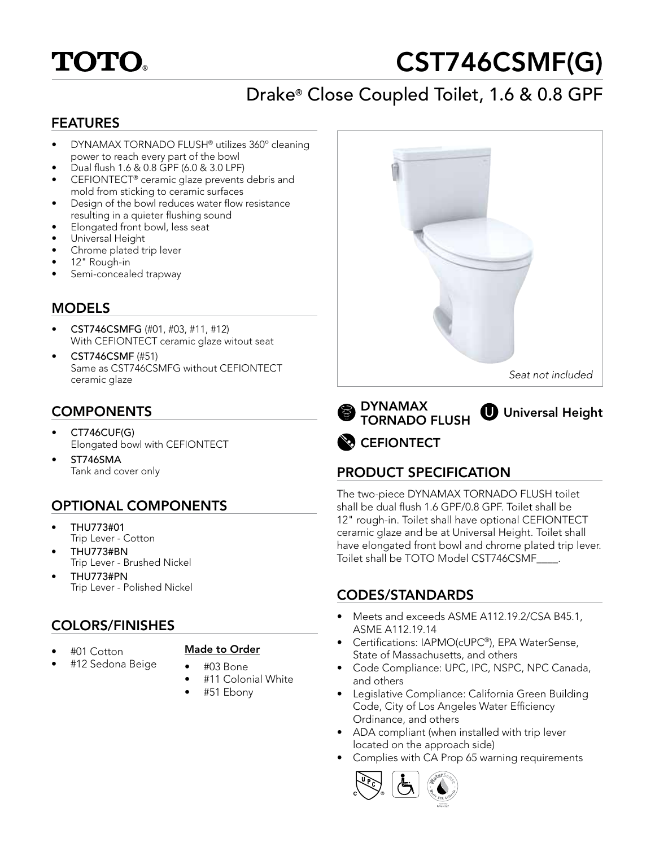# **TOTO**

# CST746CSMF(G)

# Drake® Close Coupled Toilet, 1.6 & 0.8 GPF

#### FEATURES

- DYNAMAX TORNADO FLUSH® utilizes 360º cleaning power to reach every part of the bowl
- Dual flush 1.6 & 0.8 GPF (6.0 & 3.0 LPF)
- CEFIONTECT® ceramic glaze prevents debris and mold from sticking to ceramic surfaces
- Design of the bowl reduces water flow resistance resulting in a quieter flushing sound
- Elongated front bowl, less seat
- Universal Height
- Chrome plated trip lever
- 12" Rough-in
- Semi-concealed trapway

#### MODELS

- CST746CSMFG (#01, #03, #11, #12) With CEFIONTECT ceramic glaze witout seat
- CST746CSMF (#51) Same as CST746CSMFG without CEFIONTECT ceramic glaze

## **COMPONENTS**

- CT746CUF(G) Elongated bowl with CEFIONTECT
- ST746SMA Tank and cover only

# OPTIONAL COMPONENTS

- THU773#01 Trip Lever - Cotton
- THU773#BN Trip Lever - Brushed Nickel
- THU773#PN Trip Lever - Polished Nickel

### COLORS/FINISHES

• #01 Cotton

#### Made to Order

- #12 Sedona Beige
- #03 Bone
- #11 Colonial White
- #51 Ebony



DYNAMAX TORNADO FLUSH



# **CEFIONTECT**

# PRODUCT SPECIFICATION

The two-piece DYNAMAX TORNADO FLUSH toilet shall be dual flush 1.6 GPF/0.8 GPF. Toilet shall be 12" rough-in. Toilet shall have optional CEFIONTECT ceramic glaze and be at Universal Height. Toilet shall have elongated front bowl and chrome plated trip lever. Toilet shall be TOTO Model CST746CSMF\_\_\_\_.

### CODES/STANDARDS

- Meets and exceeds ASME A112.19.2/CSA B45.1, ASME A112.19.14
- Certifications: IAPMO(cUPC®), EPA WaterSense, State of Massachusetts, and others
- Code Compliance: UPC, IPC, NSPC, NPC Canada, and others
- Legislative Compliance: California Green Building Code, City of Los Angeles Water Efficiency Ordinance, and others
- ADA compliant (when installed with trip lever located on the approach side)
- Complies with CA Prop 65 warning requirements